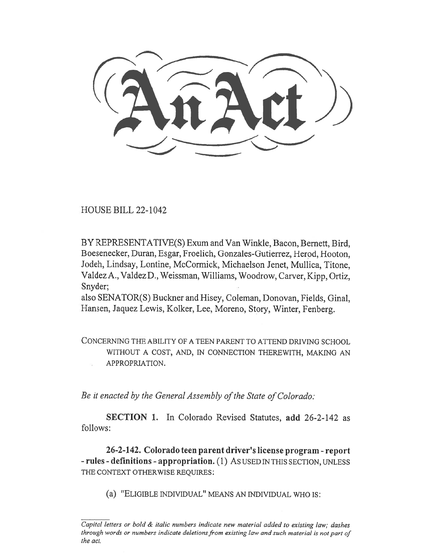HOUSE BILL 22-1042

BY REPRESENTATIVE(S) Exum and Van Winkle, Bacon, Bernett, Bird, Boesenecker, Duran, Esgar, Froelich, Gonzales-Gutierrez, Herod, Hooton, Jodeh, Lindsay, Lontine, McCormick, Michaelson Jenet, Mullica, Titone, Valdez A., Valdez D., Weissman, Williams, Woodrow, Carver, Kipp, Ortiz, Snyder;

also SENATOR(S) Buckner and Hisey, Coleman, Donovan, Fields, Ginal, Hansen, Jaquez Lewis, Kolker, Lee, Moreno, Story, Winter, Fenberg.

CONCERNING THE ABILITY OF A TEEN PARENT TO ATTEND DRIVING SCHOOL WITHOUT A COST, AND, IN CONNECTION THEREWITH, MAKING AN APPROPRIATION.

Be it enacted by the General Assembly of the State of Colorado:

SECTION 1. In Colorado Revised Statutes, add 26-2-142 as follows:

26-2-142. Colorado teen parent driver's license program - report - rules - definitions - appropriation. (1) AS USED IN THIS SECTION, UNLESS THE CONTEXT OTHERWISE REQUIRES:

(a) "ELIGIBLE INDIVIDUAL" MEANS AN INDIVIDUAL WHO IS:

Capital letters or bold & italic numbers indicate new material added to existing law; dashes through words or numbers indicate deletions from existing law and such material is not part of the act.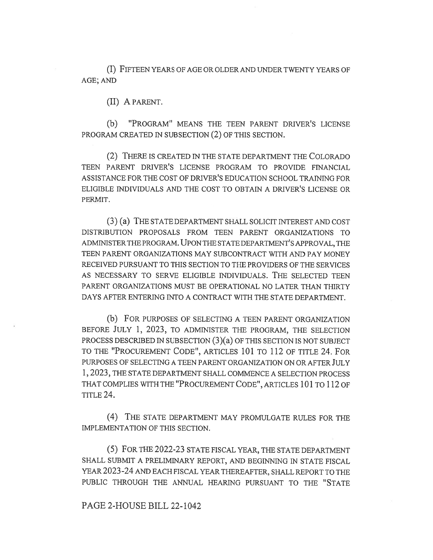(I) FIFTEEN YEARS OF AGE OR OLDER AND UNDER TWENTY YEARS OF AGE; AND

(II) A PARENT.

(b) "PROGRAM" MEANS THE TEEN PARENT DRIVER'S LICENSE PROGRAM CREATED IN SUBSECTION (2) OF THIS SECTION.

(2) THERE IS CREATED IN THE STATE DEPARTMENT THE COLORADO TEEN PARENT DRIVER'S LICENSE PROGRAM TO PROVIDE FINANCIAL ASSISTANCE FOR THE COST OF DRIVER'S EDUCATION SCHOOL TRAINING FOR ELIGIBLE INDIVIDUALS AND THE COST TO OBTAIN A DRIVER'S LICENSE OR PERMIT.

(3) (a) THE STATE DEPARTMENT SHALL SOLICIT INTEREST AND COST DISTRIBUTION PROPOSALS FROM TEEN PARENT ORGANIZATIONS TO ADMINISTER THE PROGRAM. UPON THE STATE DEPARTMENT'S APPROVAL, THE TEEN PARENT ORGANIZATIONS MAY SUBCONTRACT WITH AND PAY MONEY RECEIVED PURSUANT TO THIS SECTION TO THE PROVIDERS OF THE SERVICES AS NECESSARY TO SERVE ELIGIBLE INDIVIDUALS. THE SELECTED TEEN PARENT ORGANIZATIONS MUST BE OPERATIONAL NO LATER THAN THIRTY DAYS AFTER ENTERING INTO A CONTRACT WITH THE STATE DEPARTMENT.

(b) FOR PURPOSES OF SELECTING A TEEN PARENT ORGANIZATION BEFORE JULY 1, 2023, TO ADMINISTER THE PROGRAM, THE SELECTION PROCESS DESCRIBED IN SUBSECTION (3)(a) OF THIS SECTION IS NOT SUBJECT TO THE "PROCUREMENT CODE", ARTICLES 101 TO 112 OF TITLE 24. FOR PURPOSES OF SELECTING A TEEN PARENT ORGANIZATION ON OR AFTER JULY 1, 2023, THE STATE DEPARTMENT SHALL COMMENCE A SELECTION PROCESS THAT COMPLIES WITH THE "PROCUREMENT CODE", ARTICLES 101 TO 112 OF TITLE 24.

(4) THE STATE DEPARTMENT MAY PROMULGATE RULES FOR THE IMPLEMENTATION OF THIS SECTION.

(5) FOR THE 2022-23 STATE FISCAL YEAR, THE STATE DEPARTMENT SHALL SUBMIT A PRELIMINARY REPORT, AND BEGINNING IN STATE FISCAL YEAR 2023-24 AND EACH FISCAL YEAR THEREAFTER, SHALL REPORT TO THE PUBLIC THROUGH THE ANNUAL HEARING PURSUANT TO THE "STATE

## PAGE 2-HOUSE BILL 22-1042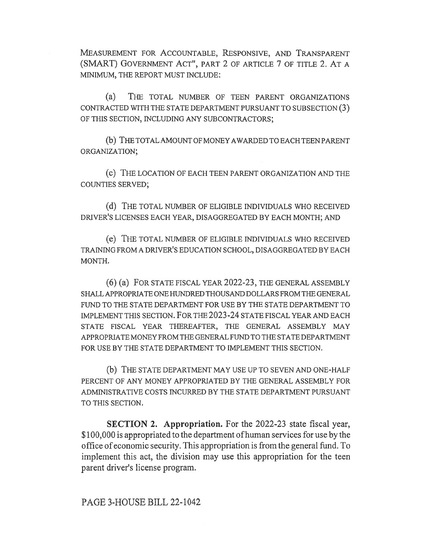MEASUREMENT FOR ACCOUNTABLE, RESPONSIVE, AND TRANSPARENT (SMART) GOVERNMENT ACT", PART 2 OF ARTICLE 7 OF TITLE 2. AT A MINIMUM, THE REPORT MUST INCLUDE:

(a) THE TOTAL NUMBER OF TEEN PARENT ORGANIZATIONS CONTRACTED WITH THE STATE DEPARTMENT PURSUANT TO SUBSECTION (3) OF THIS SECTION, INCLUDING ANY SUBCONTRACTORS;

(b) THE TOTAL AMOUNT OF MONEY AWARDED TO EACH TEEN PARENT ORGANIZATION;

(c) THE LOCATION OF EACH TEEN PARENT ORGANIZATION AND THE COUNTIES SERVED;

(d) THE TOTAL NUMBER OF ELIGIBLE INDIVIDUALS WHO RECEIVED DRIVER'S LICENSES EACH YEAR, DISAGGREGATED BY EACH MONTH; AND

(e) THE TOTAL NUMBER OF ELIGIBLE INDIVIDUALS WHO RECEIVED TRAINING FROM A DRIVER'S EDUCATION SCHOOL, DISAGGREGATED BY EACH MONTH.

(6) (a) FOR STATE FISCAL YEAR 2022-23, THE GENERAL ASSEMBLY SHALL APPROPRIATE ONE HUNDRED THOUSAND DOLLARS FROM THE GENERAL FUND TO THE STATE DEPARTMENT FOR USE BY THE STATE DEPARTMENT TO IMPLEMENT THIS SECTION. FOR THE 2023-24 STATE FISCAL YEAR AND EACH STATE FISCAL YEAR THEREAFTER, THE GENERAL ASSEMBLY MAY APPROPRIATE MONEY FROM THE GENERAL FUND TO THE STATE DEPARTMENT FOR USE BY THE STATE DEPARTMENT TO IMPLEMENT THIS SECTION.

(b) THE STATE DEPARTMENT MAY USE UP TO SEVEN AND ONE-HALF PERCENT OF ANY MONEY APPROPRIATED BY THE GENERAL ASSEMBLY FOR ADMINISTRATIVE COSTS INCURRED BY THE STATE DEPARTMENT PURSUANT TO THIS SECTION.

SECTION 2. Appropriation. For the 2022-23 state fiscal year, \$100,000 is appropriated to the department of human services for use by the office of economic security. This appropriation is from the general fund. To implement this act, the division may use this appropriation for the teen parent driver's license program.

PAGE 3-HOUSE BILL 22-1042